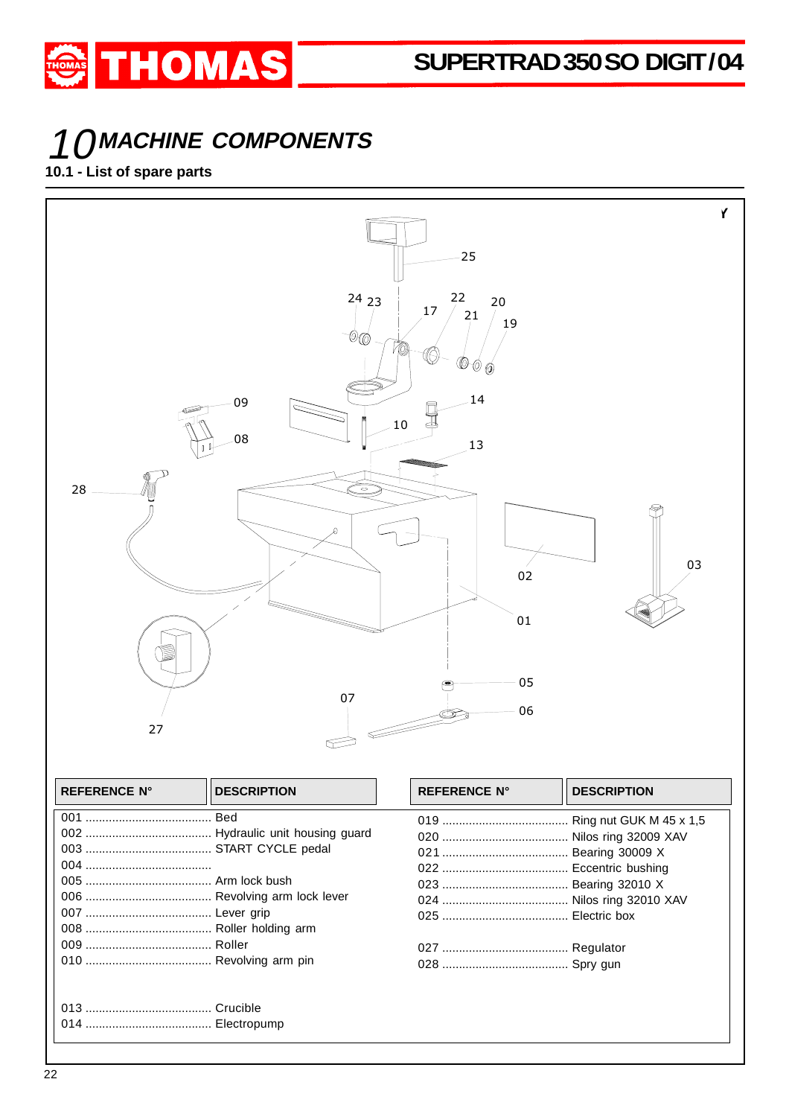# 10**MACHINE COMPONENTS**

**THOMAS** 

#### **10.1 - List of spare parts**

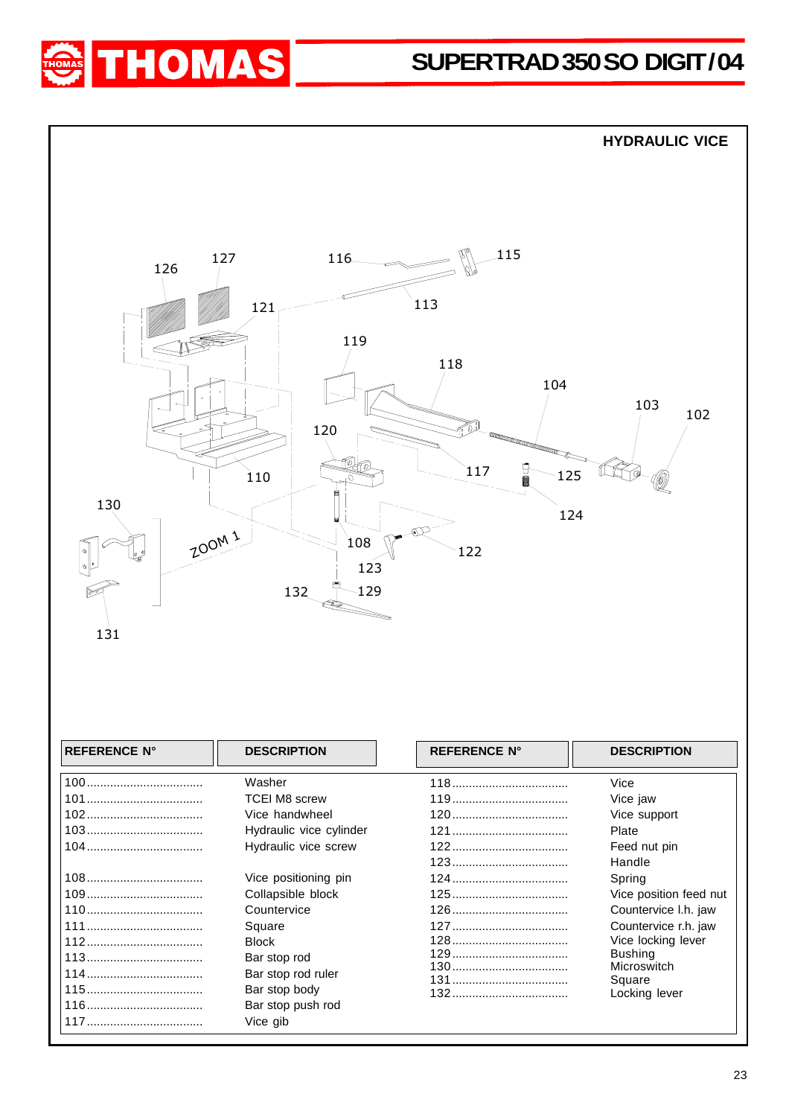# SUPERTRAD 350 SO DIGIT/04





| Washer                  | Vice                   |
|-------------------------|------------------------|
| <b>TCEI M8 screw</b>    | Vice jaw               |
| Vice handwheel          | Vice support           |
| Hydraulic vice cylinder | Plate                  |
| Hydraulic vice screw    | Feed nut pin           |
|                         | Handle                 |
| Vice positioning pin    | Spring                 |
| Collapsible block       | Vice position feed nut |
| Countervice             | Countervice I.h. jaw   |
| Square                  | Countervice r.h. jaw   |
| <b>Block</b>            | Vice locking lever     |
| Bar stop rod            | <b>Bushing</b>         |
| Bar stop rod ruler      | Microswitch<br>Square  |
| Bar stop body           | Locking lever          |
| Bar stop push rod       |                        |
| Vice gib                |                        |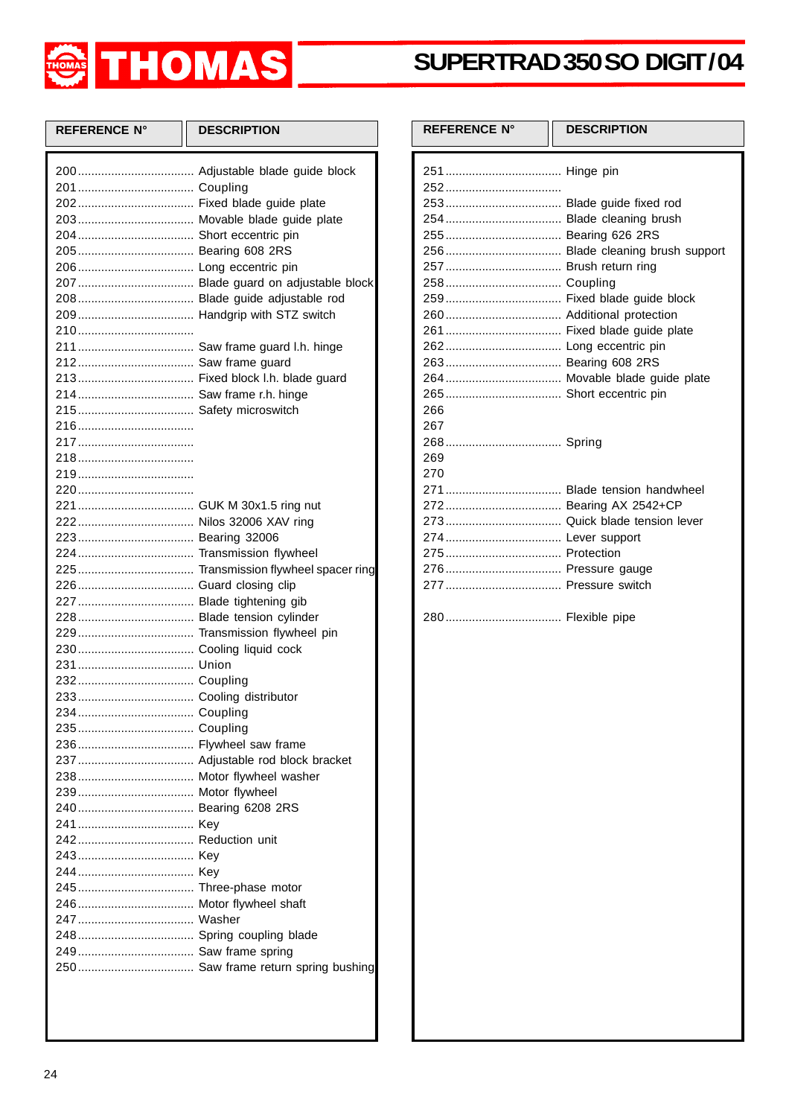

### **SUPER TRAD 350 SO DIGIT / 04**

| <b>REFERENCE N°</b>    | <b>DESCRIPTION</b>                  |
|------------------------|-------------------------------------|
|                        |                                     |
|                        |                                     |
|                        |                                     |
|                        |                                     |
|                        |                                     |
|                        |                                     |
|                        |                                     |
|                        |                                     |
|                        | 208 Blade guide adjustable rod      |
|                        |                                     |
|                        |                                     |
|                        |                                     |
|                        |                                     |
|                        |                                     |
|                        |                                     |
|                        |                                     |
|                        |                                     |
|                        |                                     |
|                        |                                     |
|                        |                                     |
|                        |                                     |
|                        |                                     |
|                        |                                     |
|                        |                                     |
|                        |                                     |
|                        |                                     |
|                        |                                     |
|                        |                                     |
|                        |                                     |
|                        |                                     |
|                        |                                     |
|                        |                                     |
|                        |                                     |
|                        |                                     |
|                        |                                     |
| 236 Flywheel saw frame |                                     |
|                        |                                     |
|                        |                                     |
|                        |                                     |
|                        |                                     |
|                        |                                     |
|                        |                                     |
|                        |                                     |
|                        |                                     |
| 245 Three-phase motor  |                                     |
|                        |                                     |
|                        |                                     |
|                        |                                     |
|                        |                                     |
|                        | 250 Saw frame return spring bushing |
|                        |                                     |
|                        |                                     |

| <b>REFERENCE N°</b>          | <b>DESCRIPTION</b>                                      |
|------------------------------|---------------------------------------------------------|
|                              |                                                         |
| 257 Brush return ring<br>266 | 254 Blade cleaning brush<br>259 Fixed blade guide block |
| 267<br>269<br>270            |                                                         |
| 274 Lever support            | 271 Blade tension handwheel<br>272 Bearing AX 2542+CP   |
|                              |                                                         |
|                              |                                                         |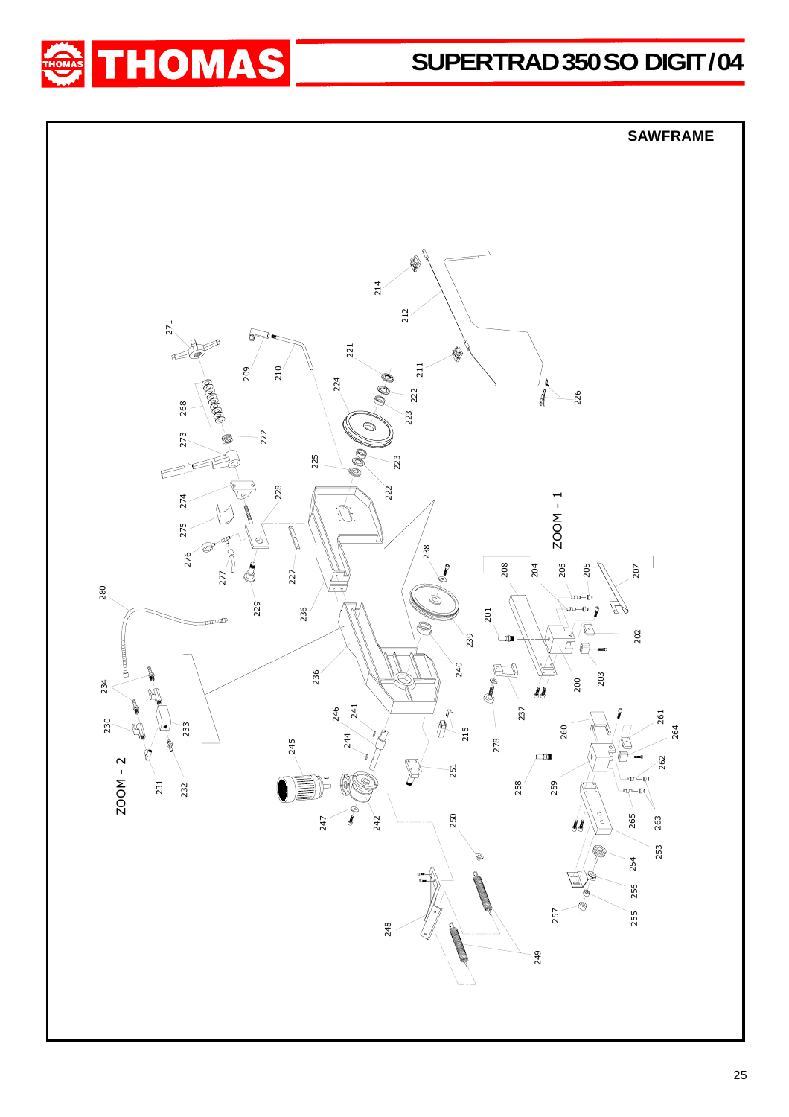

## SUPERTRAD 350 SO DIGIT/04

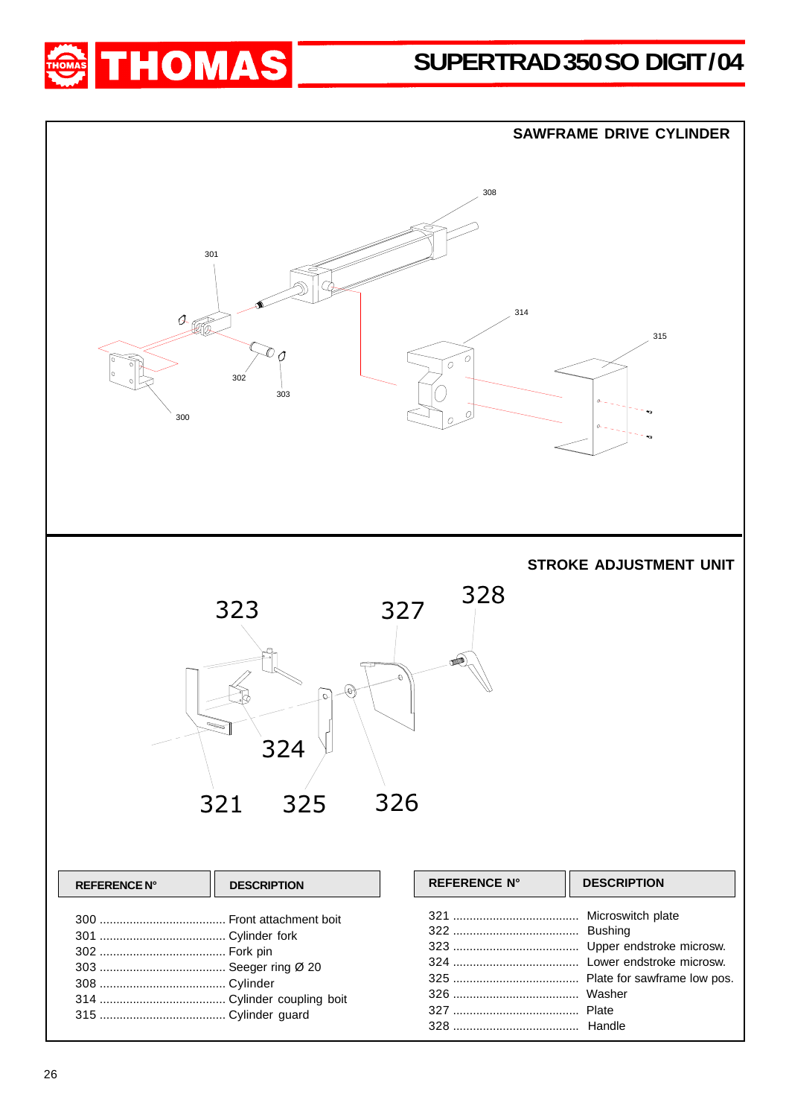